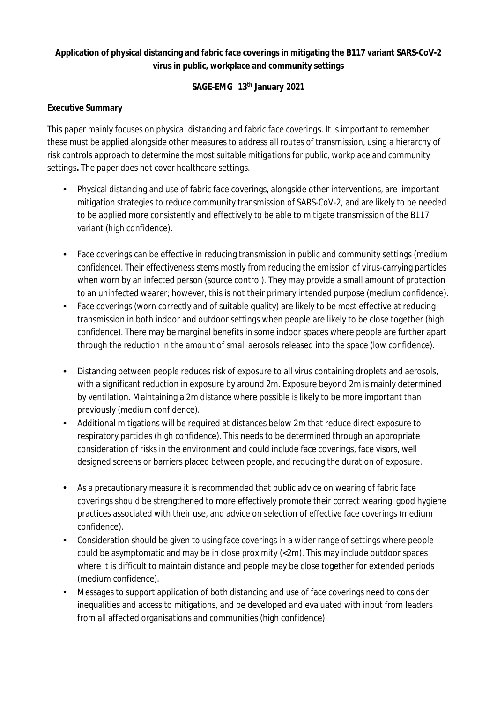# **Application of physical distancing and fabric face coverings in mitigating the B117 variant SARS-CoV-2 virus in public, workplace and community settings**

### **SAGE-EMG 13 th January 2021**

### **Executive Summary**

*This paper mainly focuses on physical distancing and fabric face coverings. It is important to remember these must be applied alongside other measures to address all routes of transmission, using a hierarchy of risk controls approach to determine the most suitable mitigations for public, workplace and community settings. The paper does not cover healthcare settings.*

- Physical distancing and use of fabric face coverings, alongside other interventions, are important mitigation strategies to reduce community transmission of SARS-CoV-2, and are likely to be needed to be applied more consistently and effectively to be able to mitigate transmission of the B117 variant (high confidence).
- Face coverings can be effective in reducing transmission in public and community settings (medium confidence). Their effectiveness stems mostly from reducing the emission of virus-carrying particles when worn by an infected person (source control). They may provide a small amount of protection to an uninfected wearer; however, this is not their primary intended purpose (medium confidence).
- Face coverings (worn correctly and of suitable quality) are likely to be most effective at reducing transmission in both indoor and outdoor settings when people are likely to be close together (high confidence). There may be marginal benefits in some indoor spaces where people are further apart through the reduction in the amount of small aerosols released into the space (low confidence).
- Distancing between people reduces risk of exposure to all virus containing droplets and aerosols, with a significant reduction in exposure by around 2m. Exposure beyond 2m is mainly determined by ventilation. Maintaining a 2m distance where possible is likely to be more important than previously (medium confidence).
- Additional mitigations will be required at distances below 2m that reduce direct exposure to respiratory particles (high confidence). This needs to be determined through an appropriate consideration of risks in the environment and could include face coverings, face visors, well designed screens or barriers placed between people, and reducing the duration of exposure.
- As a precautionary measure it is recommended that public advice on wearing of fabric face coverings should be strengthened to more effectively promote their correct wearing, good hygiene practices associated with their use, and advice on selection of effective face coverings (medium confidence).
- Consideration should be given to using face coverings in a wider range of settings where people could be asymptomatic and may be in close proximity (<2m). This may include outdoor spaces where it is difficult to maintain distance and people may be close together for extended periods (medium confidence).
- Messages to support application of both distancing and use of face coverings need to consider inequalities and access to mitigations, and be developed and evaluated with input from leaders from all affected organisations and communities (high confidence).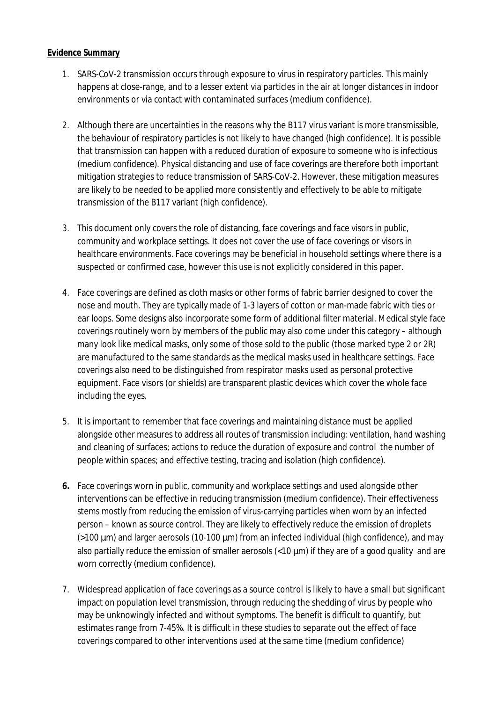#### **Evidence Summary**

- 1. SARS-CoV-2 transmission occurs through exposure to virus in respiratory particles. This mainly happens at close-range, and to a lesser extent via particles in the air at longer distances in indoor environments or via contact with contaminated surfaces (medium confidence).
- 2. Although there are uncertainties in the reasons why the B117 virus variant is more transmissible, the behaviour of respiratory particles is not likely to have changed (high confidence). It is possible that transmission can happen with a reduced duration of exposure to someone who is infectious (medium confidence). Physical distancing and use of face coverings are therefore both important mitigation strategies to reduce transmission of SARS-CoV-2. However, these mitigation measures are likely to be needed to be applied more consistently and effectively to be able to mitigate transmission of the B117 variant (high confidence).
- 3. This document only covers the role of distancing, face coverings and face visors in public, community and workplace settings. It does not cover the use of face coverings or visors in healthcare environments. Face coverings may be beneficial in household settings where there is a suspected or confirmed case, however this use is not explicitly considered in this paper.
- 4. Face coverings are defined as cloth masks or other forms of fabric barrier designed to cover the nose and mouth. They are typically made of 1-3 layers of cotton or man-made fabric with ties or ear loops. Some designs also incorporate some form of additional filter material. Medical style face coverings routinely worn by members of the public may also come under this category – although many look like medical masks, only some of those sold to the public (those marked type 2 or 2R) are manufactured to the same standards as the medical masks used in healthcare settings. Face coverings also need to be distinguished from respirator masks used as personal protective equipment. Face visors (or shields) are transparent plastic devices which cover the whole face including the eyes.
- 5. It is important to remember that face coverings and maintaining distance must be applied alongside other measures to address all routes of transmission including: ventilation, hand washing and cleaning of surfaces; actions to reduce the duration of exposure and control the number of people within spaces; and effective testing, tracing and isolation (high confidence).
- **6.** Face coverings worn in public, community and workplace settings and used alongside other interventions can be effective in reducing transmission (medium confidence). Their effectiveness stems mostly from reducing the emission of virus-carrying particles when worn by an infected person – known as *source control.* They are likely to effectively reduce the emission of droplets  $(>100 \mu m)$  and larger aerosols (10-100  $\mu m$ ) from an infected individual (high confidence), and may also partially reduce the emission of smaller aerosols  $(10 \mu m)$  if they are of a good quality and are worn correctly (medium confidence).
- 7. Widespread application of face coverings as a source control is likely to have a small but significant impact on population level transmission, through reducing the shedding of virus by people who may be unknowingly infected and without symptoms. The benefit is difficult to quantify, but estimates range from 7-45%. It is difficult in these studies to separate out the effect of face coverings compared to other interventions used at the same time (medium confidence)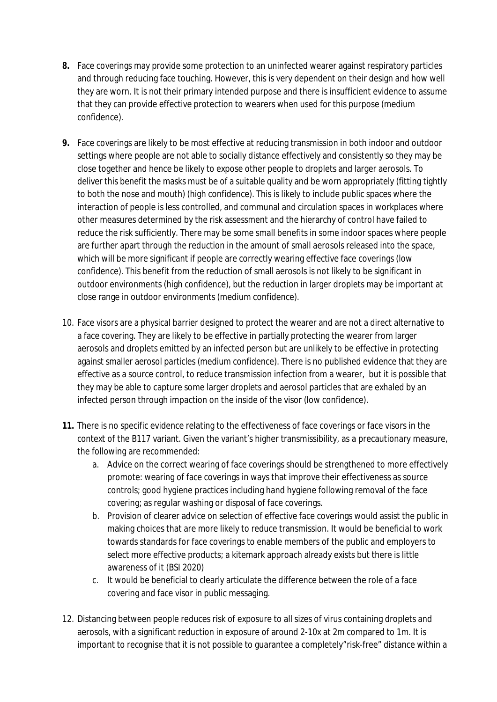- **8.** Face coverings may provide some protection to an uninfected wearer against respiratory particles and through reducing face touching. However, this is very dependent on their design and how well they are worn. It is not their primary intended purpose and there is insufficient evidence to assume that they can provide effective protection to wearers when used for this purpose (medium confidence).
- **9.** Face coverings are likely to be most effective at reducing transmission in both indoor and outdoor settings where people are not able to socially distance effectively and consistently so they may be close together and hence be likely to expose other people to droplets and larger aerosols. To deliver this benefit the masks must be of a suitable quality and be worn appropriately (fitting tightly to both the nose and mouth) (high confidence). This is likely to include public spaces where the interaction of people is less controlled, and communal and circulation spaces in workplaces where other measures determined by the risk assessment and the hierarchy of control have failed to reduce the risk sufficiently. There may be some small benefits in some indoor spaces where people are further apart through the reduction in the amount of small aerosols released into the space, which will be more significant if people are correctly wearing effective face coverings (low confidence). This benefit from the reduction of small aerosols is not likely to be significant in outdoor environments (high confidence), but the reduction in larger droplets may be important at close range in outdoor environments (medium confidence).
- 10. Face visors are a physical barrier designed to protect the wearer and are not a direct alternative to a face covering. They are likely to be effective in partially protecting the wearer from larger aerosols and droplets emitted by an infected person but are unlikely to be effective in protecting against smaller aerosol particles (medium confidence). There is no published evidence that they are effective as a source control, to reduce transmission infection from a wearer, but it is possible that they may be able to capture some larger droplets and aerosol particles that are exhaled by an infected person through impaction on the inside of the visor (low confidence).
- **11.** There is no specific evidence relating to the effectiveness of face coverings or face visors in the context of the B117 variant. Given the variant's higher transmissibility, as a precautionary measure, the following are recommended:
	- a. Advice on the correct wearing of face coverings should be strengthened to more effectively promote: wearing of face coverings in ways that improve their effectiveness as source controls; good hygiene practices including hand hygiene following removal of the face covering; as regular washing or disposal of face coverings.
	- b. Provision of clearer advice on selection of effective face coverings would assist the public in making choices that are more likely to reduce transmission. It would be beneficial to work towards standards for face coverings to enable members of the public and employers to select more effective products; a kitemark approach already exists but there is little awareness of it (BSI 2020)
	- c. It would be beneficial to clearly articulate the difference between the role of a face covering and face visor in public messaging.
- 12. Distancing between people reduces risk of exposure to all sizes of virus containing droplets and aerosols, with a significant reduction in exposure of around 2-10x at 2m compared to 1m. It is important to recognise that it is not possible to guarantee a completely"risk-free" distance within a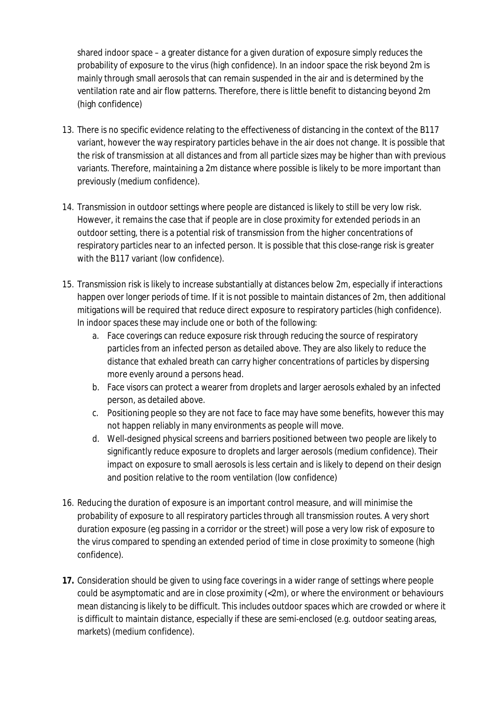shared indoor space – a greater distance for a given duration of exposure simply reduces the probability of exposure to the virus (high confidence). In an indoor space the risk beyond 2m is mainly through small aerosols that can remain suspended in the air and is determined by the ventilation rate and air flow patterns. Therefore, there is little benefit to distancing beyond 2m (high confidence)

- 13. There is no specific evidence relating to the effectiveness of distancing in the context of the B117 variant, however the way respiratory particles behave in the air does not change. It is possible that the risk of transmission at all distances and from all particle sizes may be higher than with previous variants. Therefore, maintaining a 2m distance where possible is likely to be more important than previously (medium confidence).
- 14. Transmission in outdoor settings where people are distanced is likely to still be very low risk. However, it remains the case that if people are in close proximity for extended periods in an outdoor setting, there is a potential risk of transmission from the higher concentrations of respiratory particles near to an infected person. It is possible that this close-range risk is greater with the B117 variant (low confidence).
- 15. Transmission risk is likely to increase substantially at distances below 2m, especially if interactions happen over longer periods of time. If it is not possible to maintain distances of 2m, then additional mitigations will be required that reduce direct exposure to respiratory particles (high confidence). In indoor spaces these may include one or both of the following:
	- a. Face coverings can reduce exposure risk through reducing the source of respiratory particles from an infected person as detailed above. They are also likely to reduce the distance that exhaled breath can carry higher concentrations of particles by dispersing more evenly around a persons head.
	- b. Face visors can protect a wearer from droplets and larger aerosols exhaled by an infected person, as detailed above.
	- c. Positioning people so they are not face to face may have some benefits, however this may not happen reliably in many environments as people will move.
	- d. Well-designed physical screens and barriers positioned between two people are likely to significantly reduce exposure to droplets and larger aerosols (medium confidence). Their impact on exposure to small aerosols is less certain and is likely to depend on their design and position relative to the room ventilation (low confidence)
- 16. Reducing the duration of exposure is an important control measure, and will minimise the probability of exposure to all respiratory particles through all transmission routes. A very short duration exposure (eg passing in a corridor or the street) will pose a very low risk of exposure to the virus compared to spending an extended period of time in close proximity to someone (high confidence).
- **17.** Consideration should be given to using face coverings in a wider range of settings where people could be asymptomatic and are in close proximity (<2m), or where the environment or behaviours mean distancing is likely to be difficult. This includes outdoor spaces which are crowded or where it is difficult to maintain distance, especially if these are semi-enclosed (e.g. outdoor seating areas, markets) (medium confidence).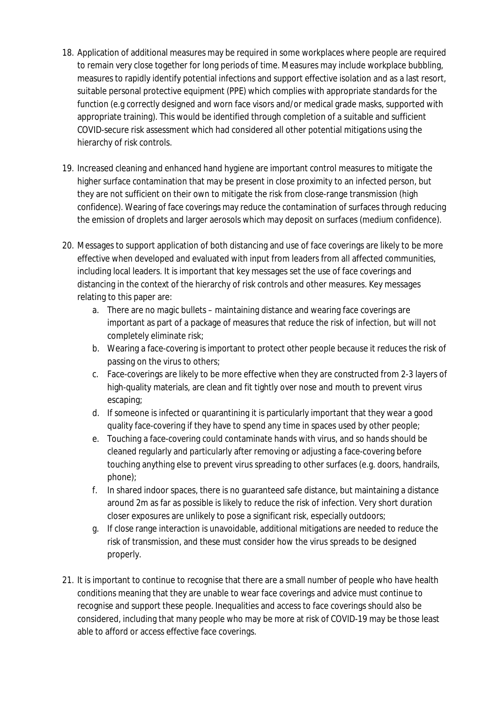- 18. Application of additional measures may be required in some workplaces where people are required to remain very close together for long periods of time. Measures may include workplace bubbling, measures to rapidly identify potential infections and support effective isolation and as a last resort, suitable personal protective equipment (PPE) which complies with appropriate standards for the function (e.g correctly designed and worn face visors and/or medical grade masks, supported with appropriate training). This would be identified through completion of a suitable and sufficient COVID-secure risk assessment which had considered all other potential mitigations using the hierarchy of risk controls.
- 19. Increased cleaning and enhanced hand hygiene are important control measures to mitigate the higher surface contamination that may be present in close proximity to an infected person, but they are not sufficient on their own to mitigate the risk from close-range transmission (high confidence). Wearing of face coverings may reduce the contamination of surfaces through reducing the emission of droplets and larger aerosols which may deposit on surfaces (medium confidence).
- 20. Messages to support application of both distancing and use of face coverings are likely to be more effective when developed and evaluated with input from leaders from all affected communities, including local leaders. It is important that key messages set the use of face coverings and distancing in the context of the hierarchy of risk controls and other measures. Key messages relating to this paper are:
	- a. There are no magic bullets maintaining distance and wearing face coverings are important as part of a package of measures that reduce the risk of infection, but will not completely eliminate risk;
	- b. Wearing a face-covering is important to protect other people because it reduces the risk of passing on the virus to others;
	- c. Face-coverings are likely to be more effective when they are constructed from 2-3 layers of high-quality materials, are clean and fit tightly over nose and mouth to prevent virus escaping;
	- d. If someone is infected or quarantining it is particularly important that they wear a good quality face-covering if they have to spend any time in spaces used by other people;
	- e. Touching a face-covering could contaminate hands with virus, and so hands should be cleaned regularly and particularly after removing or adjusting a face-covering before touching anything else to prevent virus spreading to other surfaces (e.g. doors, handrails, phone);
	- f. In shared indoor spaces, there is no guaranteed safe distance, but maintaining a distance around 2m as far as possible is likely to reduce the risk of infection. Very short duration closer exposures are unlikely to pose a significant risk, especially outdoors;
	- g. If close range interaction is unavoidable, additional mitigations are needed to reduce the risk of transmission, and these must consider how the virus spreads to be designed properly.
- 21. It is important to continue to recognise that there are a small number of people who have health conditions meaning that they are unable to wear face coverings and advice must continue to recognise and support these people. Inequalities and access to face coverings should also be considered, including that many people who may be more at risk of COVID-19 may be those least able to afford or access effective face coverings.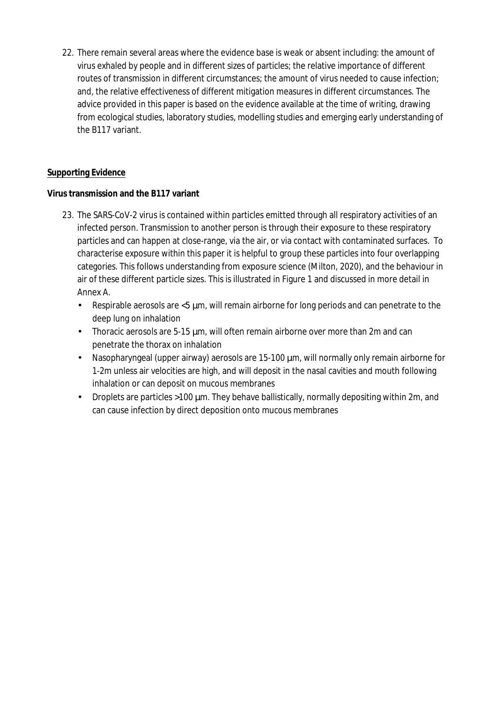22. There remain several areas where the evidence base is weak or absent including: the amount of virus exhaled by people and in different sizes of particles; the relative importance of different routes of transmission in different circumstances; the amount of virus needed to cause infection; and, the relative effectiveness of different mitigation measures in different circumstances. The advice provided in this paper is based on the evidence available at the time of writing, drawing from ecological studies, laboratory studies, modelling studies and emerging early understanding of the B117 variant.

### **Supporting Evidence**

## **Virus transmission and the B117 variant**

- 23. The SARS-CoV-2 virus is contained within particles emitted through all respiratory activities of an infected person. Transmission to another person is through their exposure to these respiratory particles and can happen at close-range, via the air, or via contact with contaminated surfaces. To characterise exposure within this paper it is helpful to group these particles into four overlapping categories. This follows understanding from exposure science (Milton, 2020), and the behaviour in air of these different particle sizes. This is illustrated in Figure 1 and discussed in more detail in Annex A.
	- Respirable aerosols are  $\lt5 \mu$ m, will remain airborne for long periods and can penetrate to the deep lung on inhalation
	- Thoracic aerosols are 5-15 μm, will often remain airborne over more than 2m and can penetrate the thorax on inhalation
	- Nasopharyngeal (upper airway) aerosols are 15-100 μm, will normally only remain airborne for 1-2m unless air velocities are high, and will deposit in the nasal cavities and mouth following inhalation or can deposit on mucous membranes
	- Droplets are particles  $>100 \mu m$ . They behave ballistically, normally depositing within 2m, and can cause infection by direct deposition onto mucous membranes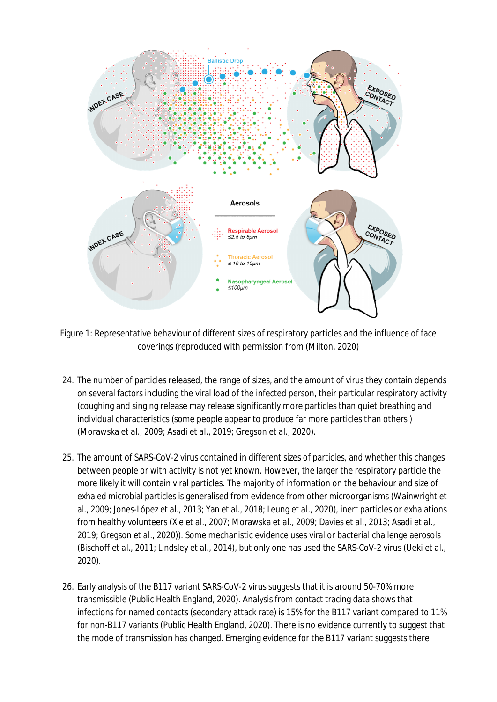

Figure 1: Representative behaviour of different sizes of respiratory particles and the influence of face coverings (reproduced with permission from (Milton, 2020)

- 24. The number of particles released, the range of sizes, and the amount of virus they contain depends on several factors including the viral load of the infected person, their particular respiratory activity (coughing and singing release may release significantly more particles than quiet breathing and individual characteristics (some people appear to produce far more particles than others ) (Morawska *et al.*, 2009; Asadi *et al.*, 2019; Gregson *et al.*, 2020).
- 25. The amount of SARS-CoV-2 virus contained in different sizes of particles, and whether this changes between people or with activity is not yet known. However, the larger the respiratory particle the more likely it will contain viral particles. The majority of information on the behaviour and size of exhaled microbial particles is generalised from evidence from other microorganisms (Wainwright *et al.*, 2009; Jones-López *et al.*, 2013; Yan *et al.*, 2018; Leung *et al.*, 2020), inert particles or exhalations from healthy volunteers (Xie *et al.*, 2007; Morawska *et al.*, 2009; Davies *et al.*, 2013; Asadi *et al.*, 2019; Gregson *et al.*, 2020)). Some mechanistic evidence uses viral or bacterial challenge aerosols (Bischoff *et al.*, 2011; Lindsley *et al.*, 2014), but only one has used the SARS-CoV-2 virus (Ueki *et al.*, 2020).
- 26. Early analysis of the B117 variant SARS-CoV-2 virus suggests that it is around 50-70% more transmissible (Public Health England, 2020). Analysis from contact tracing data shows that infections for named contacts (secondary attack rate) is 15% for the B117 variant compared to 11% for non-B117 variants (Public Health England, 2020). There is no evidence currently to suggest that the mode of transmission has changed. Emerging evidence for the B117 variant suggests there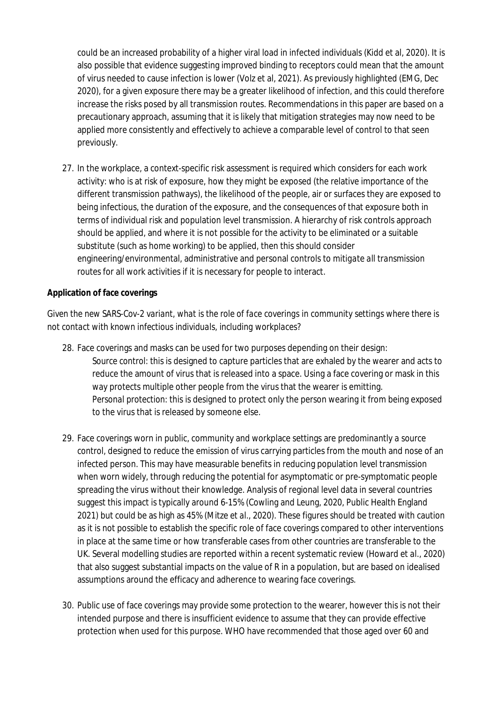could be an increased probability of a higher viral load in infected individuals (Kidd et al, 2020). It is also possible that evidence suggesting improved binding to receptors could mean that the amount of virus needed to cause infection is lower (Volz et al, 2021). As previously highlighted (EMG, Dec 2020), for a given exposure there may be a greater likelihood of infection, and this could therefore increase the risks posed by all transmission routes. Recommendations in this paper are based on a precautionary approach, assuming that it is likely that mitigation strategies may now need to be applied more consistently and effectively to achieve a comparable level of control to that seen previously.

27. In the workplace, a context-specific risk assessment is required which considers for each work activity: who is at risk of exposure, how they might be exposed (the relative importance of the different transmission pathways), the likelihood of the people, air or surfaces they are exposed to being infectious, the duration of the exposure, and the consequences of that exposure both in terms of individual risk and population level transmission. A hierarchy of risk controls approach should be applied, and where it is not possible for the activity to be eliminated or a suitable substitute (such as home working) to be applied, then this should consider engineering/environmental, administrative and personal controls to *mitigate all transmission routes* for all work activities if it is necessary for people to interact.

#### **Application of face coverings**

*Given the new SARS-Cov-2 variant, what is the role of face coverings in community settings where there is not contact with known infectious individuals, including workplaces?*

- 28. Face coverings and masks can be used for two purposes depending on their design: *Source control:* this is designed to capture particles that are exhaled by the wearer and acts to reduce the amount of virus that is released into a space. Using a face covering or mask in this way protects multiple other people from the virus that the wearer is emitting. *Personal protection:* this is designed to protect only the person wearing it from being exposed to the virus that is released by someone else.
- 29. Face coverings worn in public, community and workplace settings are *predominantly a source control*, designed to reduce the emission of virus carrying particles from the mouth and nose of an infected person. This may have measurable benefits in reducing population level transmission when worn widely, through reducing the potential for asymptomatic or pre-symptomatic people spreading the virus without their knowledge. Analysis of regional level data in several countries suggest this impact is typically around 6-15% (Cowling and Leung, 2020, Public Health England 2021) but could be as high as 45% (Mitze *et al.*, 2020). These figures should be treated with caution as it is not possible to establish the specific role of face coverings compared to other interventions in place at the same time or how transferable cases from other countries are transferable to the UK. Several modelling studies are reported within a recent systematic review (Howard *et al.*, 2020) that also suggest substantial impacts on the value of R in a population, but are based on idealised assumptions around the efficacy and adherence to wearing face coverings.
- 30. Public use of face coverings may provide some protection to the wearer, however this is not their intended purpose and there is insufficient evidence to assume that they can provide effective protection when used for this purpose. WHO have recommended that those aged over 60 and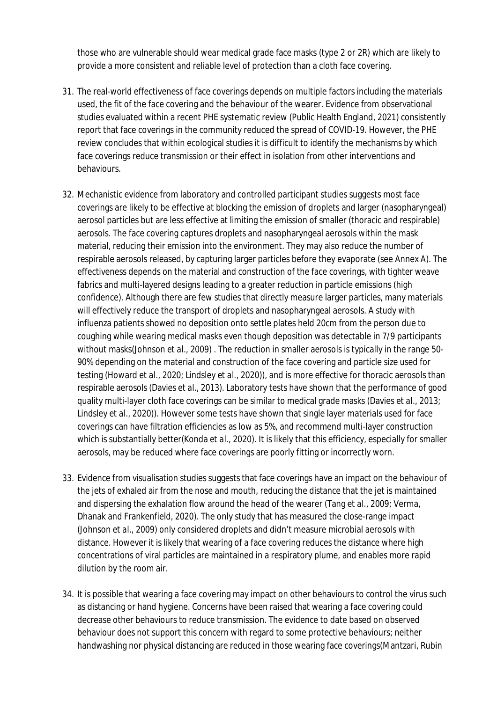those who are vulnerable should wear medical grade face masks (type 2 or 2R) which are likely to provide a more consistent and reliable level of protection than a cloth face covering.

- 31. The real-world effectiveness of face coverings depends on multiple factors including the materials used, the fit of the face covering and the behaviour of the wearer. Evidence from observational studies evaluated within a recent PHE systematic review (Public Health England, 2021) consistently report that face coverings in the community reduced the spread of COVID-19. However, the PHE review concludes that within ecological studies it is difficult to identify the mechanisms by which face coverings reduce transmission or their effect in isolation from other interventions and behaviours.
- 32. Mechanistic evidence from laboratory and controlled participant studies suggests most face coverings are likely to be effective at blocking the emission of droplets and larger (nasopharyngeal) aerosol particles but are less effective at limiting the emission of smaller (thoracic and respirable) aerosols. The face covering captures droplets and nasopharyngeal aerosols within the mask material, reducing their emission into the environment. They may also reduce the number of respirable aerosols released, by capturing larger particles before they evaporate (see Annex A). The effectiveness depends on the material and construction of the face coverings, with tighter weave fabrics and multi-layered designs leading to a greater reduction in particle emissions (high confidence). Although there are few studies that directly measure larger particles, many materials will effectively reduce the transport of droplets and nasopharyngeal aerosols. A study with influenza patients showed no deposition onto settle plates held 20cm from the person due to coughing while wearing medical masks even though deposition was detectable in 7/9 participants without masks(Johnson *et al.*, 2009) . The reduction in smaller aerosols is typically in the range 50- 90% depending on the material and construction of the face covering and particle size used for testing (Howard *et al.*, 2020; Lindsley *et al.*, 2020)), and is more effective for thoracic aerosols than respirable aerosols (Davies *et al.*, 2013). Laboratory tests have shown that the performance of good quality multi-layer cloth face coverings can be similar to medical grade masks (Davies *et al.*, 2013; Lindsley *et al.*, 2020)). However some tests have shown that single layer materials used for face coverings can have filtration efficiencies as low as 5%, and recommend multi-layer construction which is substantially better(Konda *et al.*, 2020). It is likely that this efficiency, especially for smaller aerosols, may be reduced where face coverings are poorly fitting or incorrectly worn.
- 33. Evidence from visualisation studies suggests that face coverings have an impact on the behaviour of the jets of exhaled air from the nose and mouth, reducing the distance that the jet is maintained and dispersing the exhalation flow around the head of the wearer (Tang *et al.*, 2009; Verma, Dhanak and Frankenfield, 2020). The only study that has measured the close-range impact (Johnson *et al.*, 2009) only considered droplets and didn't measure microbial aerosols with distance. However it is likely that wearing of a face covering reduces the distance where high concentrations of viral particles are maintained in a respiratory plume, and enables more rapid dilution by the room air.
- 34. It is possible that wearing a face covering may impact on other behaviours to control the virus such as distancing or hand hygiene. Concerns have been raised that wearing a face covering could decrease other behaviours to reduce transmission. The evidence to date based on observed behaviour does not support this concern with regard to some protective behaviours; neither handwashing nor physical distancing are reduced in those wearing face coverings(Mantzari, Rubin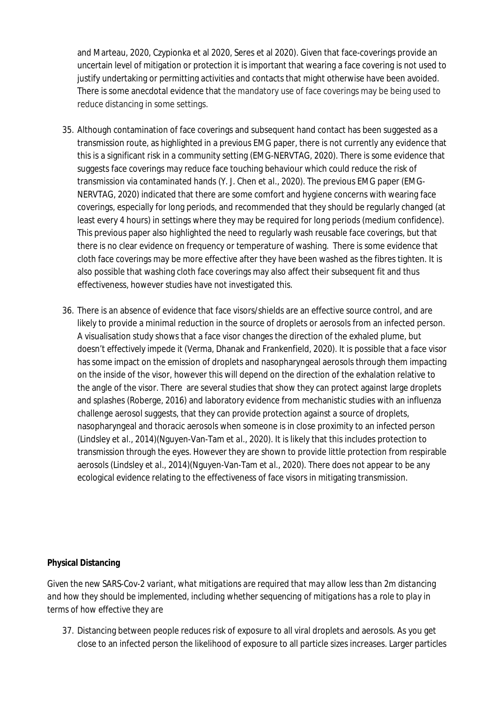and Marteau, 2020, Czypionka et al 2020, Seres et al 2020). Given that face-coverings provide an uncertain level of mitigation or protection it is important that wearing a face covering is not used to justify undertaking or permitting activities and contacts that might otherwise have been avoided. There is some anecdotal evidence that the mandatory use of face coverings may be being used to reduce distancing in some settings.

- 35. Although contamination of face coverings and subsequent hand contact has been suggested as a transmission route, as highlighted in a previous EMG paper, there is not currently any evidence that this is a significant risk in a community setting (EMG-NERVTAG, 2020). There is some evidence that suggests face coverings may reduce face touching behaviour which could reduce the risk of transmission via contaminated hands (Y. J. Chen *et al.*, 2020). The previous EMG paper (EMG-NERVTAG, 2020) indicated that there are some comfort and hygiene concerns with wearing face coverings, especially for long periods, and recommended that they should be regularly changed (at least every 4 hours) in settings where they may be required for long periods (medium confidence). This previous paper also highlighted the need to regularly wash reusable face coverings, but that there is no clear evidence on frequency or temperature of washing. There is some evidence that cloth face coverings may be more effective after they have been washed as the fibres tighten. It is also possible that washing cloth face coverings may also affect their subsequent fit and thus effectiveness, however studies have not investigated this.
- 36. There is an absence of evidence that face visors/shields are an effective source control, and are likely to provide a minimal reduction in the source of droplets or aerosols from an infected person. A visualisation study shows that a face visor changes the direction of the exhaled plume, but doesn't effectively impede it (Verma, Dhanak and Frankenfield, 2020). It is possible that a face visor has some impact on the emission of droplets and nasopharyngeal aerosols through them impacting on the inside of the visor, however this will depend on the direction of the exhalation relative to the angle of the visor. There are several studies that show they can protect against large droplets and splashes (Roberge, 2016) and laboratory evidence from mechanistic studies with an influenza challenge aerosol suggests, that they can provide protection against a source of droplets, nasopharyngeal and thoracic aerosols when someone is in close proximity to an infected person (Lindsley *et al.*, 2014)(Nguyen-Van-Tam *et al.*, 2020). It is likely that this includes protection to transmission through the eyes. However they are shown to provide little protection from respirable aerosols (Lindsley *et al.*, 2014)(Nguyen-Van-Tam *et al.*, 2020). There does not appear to be any ecological evidence relating to the effectiveness of face visors in mitigating transmission.

#### **Physical Distancing**

*Given the new SARS-Cov-2 variant, what mitigations are required that may allow less than 2m distancing and how they should be implemented, including whether sequencing of mitigations has a role to play in terms of how effective they are*

37. Distancing between people reduces risk of exposure to all viral droplets and aerosols. As you get close to an infected person the likelihood of exposure to all particle sizes increases. Larger particles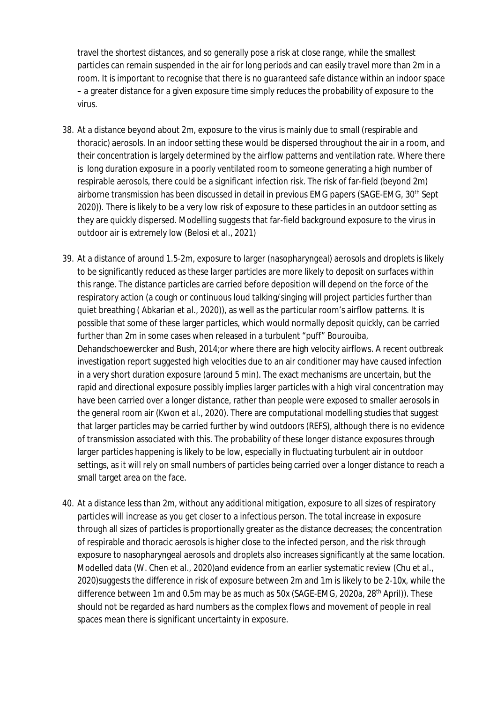travel the shortest distances, and so generally pose a risk at close range, while the smallest particles can remain suspended in the air for long periods and can easily travel more than 2m in a room. It is important to recognise that there is *no guaranteed safe distance* within an indoor space – a greater distance for a given exposure time simply reduces the probability of exposure to the virus.

- 38. At a distance beyond about 2m, exposure to the virus is mainly due to small (respirable and thoracic) aerosols. In an indoor setting these would be dispersed throughout the air in a room, and their concentration is largely determined by the airflow patterns and ventilation rate. Where there is long duration exposure in a poorly ventilated room to someone generating a high number of respirable aerosols, there could be a significant infection risk. The risk of far-field (beyond 2m) airborne transmission has been discussed in detail in previous EMG papers (SAGE-EMG, 30th Sept 2020)). There is likely to be a very low risk of exposure to these particles in an outdoor setting as they are quickly dispersed. Modelling suggests that far-field background exposure to the virus in outdoor air is extremely low (Belosi *et al.*, 2021)
- 39. At a distance of around 1.5-2m, exposure to larger (nasopharyngeal) aerosols and droplets is likely to be significantly reduced as these larger particles are more likely to deposit on surfaces within this range. The distance particles are carried before deposition will depend on the force of the respiratory action (a cough or continuous loud talking/singing will project particles further than quiet breathing ( Abkarian *et al.*, 2020)), as well as the particular room's airflow patterns. It is possible that some of these larger particles, which would normally deposit quickly, can be carried further than 2m in some cases when released in a turbulent "puff" Bourouiba, Dehandschoewercker and Bush, 2014;or where there are high velocity airflows. A recent outbreak investigation report suggested high velocities due to an air conditioner may have caused infection in a very short duration exposure (around 5 min). The exact mechanisms are uncertain, but the rapid and directional exposure possibly implies larger particles with a high viral concentration may have been carried over a longer distance, rather than people were exposed to smaller aerosols in the general room air (Kwon *et al.*, 2020). There are computational modelling studies that suggest that larger particles may be carried further by wind outdoors (REFS), although there is no evidence of transmission associated with this. The probability of these longer distance exposures through larger particles happening is likely to be low, especially in fluctuating turbulent air in outdoor settings, as it will rely on small numbers of particles being carried over a longer distance to reach a small target area on the face.
- 40. At a distance less than 2m, without any additional mitigation, exposure to all sizes of respiratory particles will increase as you get closer to a infectious person. The total increase in exposure through all sizes of particles is proportionally greater as the distance decreases; the concentration of respirable and thoracic aerosols is higher close to the infected person, and the risk through exposure to nasopharyngeal aerosols and droplets also increases significantly at the same location. Modelled data (W. Chen *et al.*, 2020)and evidence from an earlier systematic review (Chu *et al.*, 2020)suggests the difference in risk of exposure between 2m and 1m is likely to be 2-10x, while the difference between 1m and 0.5m may be as much as  $50x$  (SAGE-EMG, 2020a, 28<sup>th</sup> April)). These should not be regarded as hard numbers as the complex flows and movement of people in real spaces mean there is significant uncertainty in exposure.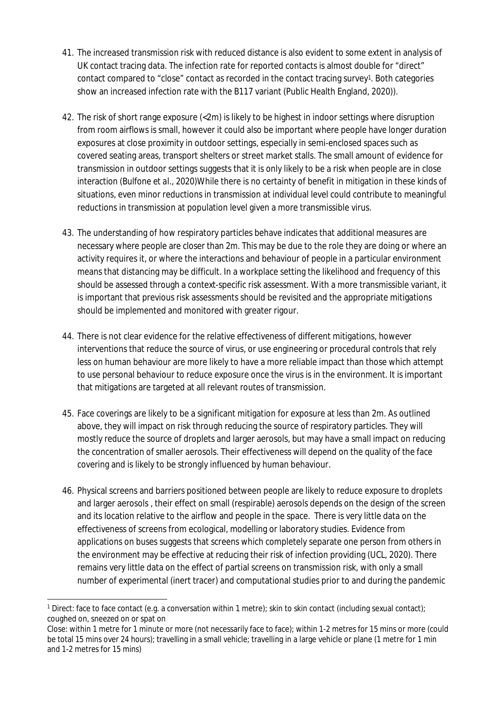- 41. The increased transmission risk with reduced distance is also evident to some extent in analysis of UK contact tracing data. The infection rate for reported contacts is almost double for "direct" contact compared to "close" contact as recorded in the contact tracing survey1. Both categories show an increased infection rate with the B117 variant (Public Health England, 2020)).
- 42. The risk of short range exposure (<2m) is likely to be highest in indoor settings where disruption from room airflows is small, however it could also be important where people have longer duration exposures at close proximity in outdoor settings, especially in semi-enclosed spaces such as covered seating areas, transport shelters or street market stalls. The small amount of evidence for transmission in outdoor settings suggests that it is only likely to be a risk when people are in close interaction (Bulfone *et al.*, 2020)While there is no certainty of benefit in mitigation in these kinds of situations, even minor reductions in transmission at individual level could contribute to meaningful reductions in transmission at population level given a more transmissible virus.
- 43. The understanding of how respiratory particles behave indicates that additional measures are necessary where people are closer than 2m. This may be due to the role they are doing or where an activity requires it, or where the interactions and behaviour of people in a particular environment means that distancing may be difficult. In a workplace setting the likelihood and frequency of this should be assessed through a context-specific risk assessment. With a more transmissible variant, it is important that previous risk assessments should be revisited and the appropriate mitigations should be implemented and monitored with greater rigour.
- 44. There is not clear evidence for the relative effectiveness of different mitigations, however interventions that reduce the source of virus, or use engineering or procedural controls that rely less on human behaviour are more likely to have a more reliable impact than those which attempt to use personal behaviour to reduce exposure once the virus is in the environment. It is important that mitigations are targeted at all relevant routes of transmission.
- 45. Face coverings are likely to be a significant mitigation for exposure at less than 2m. As outlined above, they will impact on risk through reducing the source of respiratory particles. They will mostly reduce the source of droplets and larger aerosols, but may have a small impact on reducing the concentration of smaller aerosols. Their effectiveness will depend on the quality of the face covering and is likely to be strongly influenced by human behaviour.
- 46. Physical screens and barriers positioned between people are likely to reduce exposure to droplets and larger aerosols , their effect on small (respirable) aerosols depends on the design of the screen and its location relative to the airflow and people in the space. There is very little data on the effectiveness of screens from ecological, modelling or laboratory studies. Evidence from applications on buses suggests that screens which completely separate one person from others in the environment may be effective at reducing their risk of infection providing (UCL, 2020). There remains very little data on the effect of partial screens on transmission risk, with only a small number of experimental (inert tracer) and computational studies prior to and during the pandemic

<sup>&</sup>lt;sup>1</sup> Direct: face to face contact (e.g. a conversation within 1 metre); skin to skin contact (including sexual contact); coughed on, sneezed on or spat on

Close: within 1 metre for 1 minute or more (not necessarily face to face); within 1-2 metres for 15 mins or more (could be total 15 mins over 24 hours); travelling in a small vehicle; travelling in a large vehicle or plane (1 metre for 1 min and 1-2 metres for 15 mins)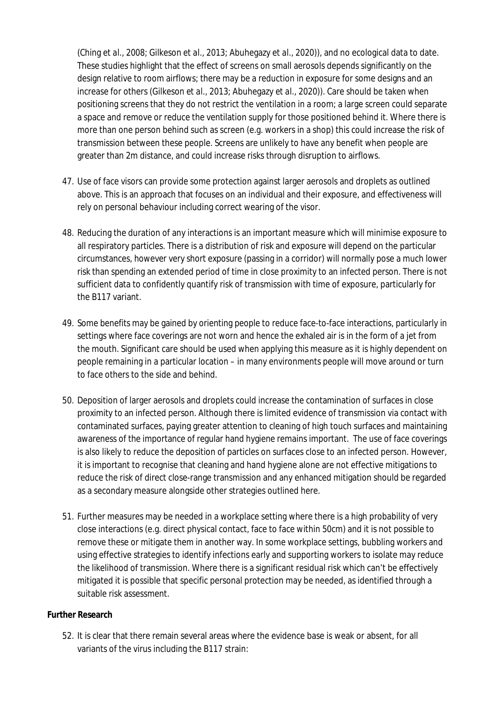(Ching *et al.*, 2008; Gilkeson *et al.*, 2013; Abuhegazy *et al.*, 2020)), and no ecological data to date. These studies highlight that the effect of screens on small aerosols depends significantly on the design relative to room airflows; there may be a reduction in exposure for some designs and an increase for others (Gilkeson *et al.*, 2013; Abuhegazy *et al.*, 2020)). Care should be taken when positioning screens that they do not restrict the ventilation in a room; a large screen could separate a space and remove or reduce the ventilation supply for those positioned behind it. Where there is more than one person behind such as screen (e.g. workers in a shop) this could increase the risk of transmission between these people. Screens are unlikely to have any benefit when people are greater than 2m distance, and could increase risks through disruption to airflows.

- 47. Use of face visors can provide some protection against larger aerosols and droplets as outlined above. This is an approach that focuses on an individual and their exposure, and effectiveness will rely on personal behaviour including correct wearing of the visor.
- 48. Reducing the duration of any interactions is an important measure which will minimise exposure to all respiratory particles. There is a distribution of risk and exposure will depend on the particular circumstances, however very short exposure (passing in a corridor) will normally pose a much lower risk than spending an extended period of time in close proximity to an infected person. There is not sufficient data to confidently quantify risk of transmission with time of exposure, particularly for the B117 variant.
- 49. Some benefits may be gained by orienting people to reduce face-to-face interactions, particularly in settings where face coverings are not worn and hence the exhaled air is in the form of a jet from the mouth. Significant care should be used when applying this measure as it is highly dependent on people remaining in a particular location – in many environments people will move around or turn to face others to the side and behind.
- 50. Deposition of larger aerosols and droplets could increase the contamination of surfaces in close proximity to an infected person. Although there is limited evidence of transmission via contact with contaminated surfaces, paying greater attention to cleaning of high touch surfaces and maintaining awareness of the importance of regular hand hygiene remains important. The use of face coverings is also likely to reduce the deposition of particles on surfaces close to an infected person. However, it is important to recognise that cleaning and hand hygiene alone are not effective mitigations to reduce the risk of direct close-range transmission and any enhanced mitigation should be regarded as a secondary measure alongside other strategies outlined here.
- 51. Further measures may be needed in a workplace setting where there is a high probability of very close interactions (e.g. direct physical contact, face to face within 50cm) and it is not possible to remove these or mitigate them in another way. In some workplace settings, bubbling workers and using effective strategies to identify infections early and supporting workers to isolate may reduce the likelihood of transmission. Where there is a significant residual risk which can't be effectively mitigated it is possible that specific personal protection may be needed, as identified through a suitable risk assessment.

#### **Further Research**

52. It is clear that there remain several areas where the evidence base is weak or absent, for all variants of the virus including the B117 strain: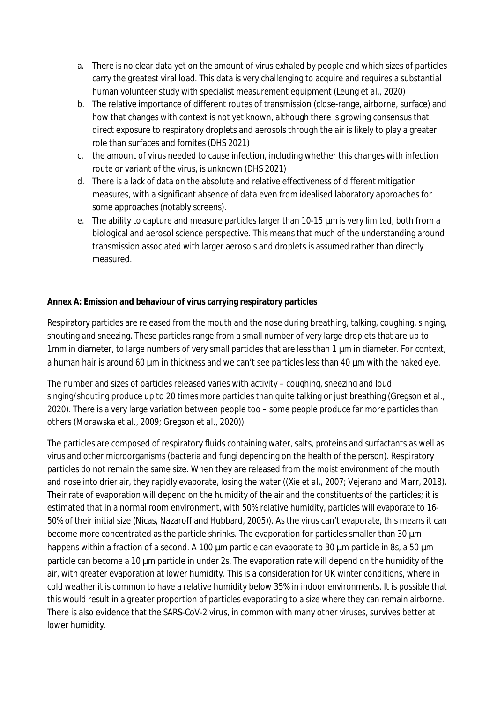- a. There is no clear data yet on the amount of virus exhaled by people and which sizes of particles carry the greatest viral load. This data is very challenging to acquire and requires a substantial human volunteer study with specialist measurement equipment (Leung *et al.*, 2020)
- b. The relative importance of different routes of transmission (close-range, airborne, surface) and how that changes with context is not yet known, although there is growing consensus that direct exposure to respiratory droplets and aerosols through the air is likely to play a greater role than surfaces and fomites (DHS 2021)
- c. the amount of virus needed to cause infection, including whether this changes with infection route or variant of the virus, is unknown (DHS 2021)
- d. There is a lack of data on the absolute and relative effectiveness of different mitigation measures, with a significant absence of data even from idealised laboratory approaches for some approaches (notably screens).
- e. The ability to capture and measure particles larger than 10-15 μm is very limited, both from a biological and aerosol science perspective. This means that much of the understanding around transmission associated with larger aerosols and droplets is assumed rather than directly measured.

## **Annex A: Emission and behaviour of virus carrying respiratory particles**

Respiratory particles are released from the mouth and the nose during breathing, talking, coughing, singing, shouting and sneezing. These particles range from a small number of very large droplets that are up to 1mm in diameter, to large numbers of very small particles that are less than 1 μm in diameter. For context, a human hair is around 60  $\mu$ m in thickness and we can't see particles less than 40  $\mu$ m with the naked eye.

The number and sizes of particles released varies with activity – coughing, sneezing and loud singing/shouting produce up to 20 times more particles than quite talking or just breathing (Gregson *et al.*, 2020). There is a very large variation between people too – some people produce far more particles than others (Morawska *et al.*, 2009; Gregson *et al.*, 2020)).

The particles are composed of respiratory fluids containing water, salts, proteins and surfactants as well as virus and other microorganisms (bacteria and fungi depending on the health of the person). Respiratory particles do not remain the same size. When they are released from the moist environment of the mouth and nose into drier air, they rapidly evaporate, losing the water ((Xie *et al.*, 2007; Vejerano and Marr, 2018). Their rate of evaporation will depend on the humidity of the air and the constituents of the particles; it is estimated that in a normal room environment, with 50% relative humidity, particles will evaporate to 16- 50% of their initial size (Nicas, Nazaroff and Hubbard, 2005)). As the virus can't evaporate, this means it can become more concentrated as the particle shrinks. The evaporation for particles smaller than 30 μm happens within a fraction of a second. A 100 μm particle can evaporate to 30 μm particle in 8s, a 50 μm particle can become a 10 μm particle in under 2s. The evaporation rate will depend on the humidity of the air, with greater evaporation at lower humidity. This is a consideration for UK winter conditions, where in cold weather it is common to have a relative humidity below 35% in indoor environments. It is possible that this would result in a greater proportion of particles evaporating to a size where they can remain airborne. There is also evidence that the SARS-CoV-2 virus, in common with many other viruses, survives better at lower humidity.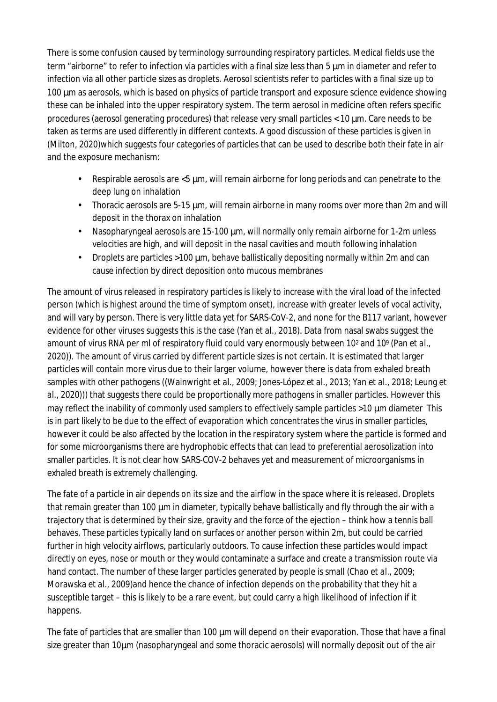There is some confusion caused by terminology surrounding respiratory particles. Medical fields use the term "airborne" to refer to infection via particles with a final size less than 5 μm in diameter and refer to infection via all other particle sizes as droplets. Aerosol scientists refer to particles with a final size up to 100 μm as aerosols, which is based on physics of particle transport and exposure science evidence showing these can be inhaled into the upper respiratory system. The term aerosol in medicine often refers specific procedures (aerosol generating procedures) that release very small particles < 10 μm. Care needs to be taken as terms are used differently in different contexts. A good discussion of these particles is given in (Milton, 2020)which suggests four categories of particles that can be used to describe both their fate in air and the exposure mechanism:

- Respirable aerosols are <5 μm, will remain airborne for long periods and can penetrate to the deep lung on inhalation
- Thoracic aerosols are  $5-15 \mu m$ , will remain airborne in many rooms over more than 2m and will deposit in the thorax on inhalation
- Nasopharyngeal aerosols are  $15{\text -}100 \,\mu$ m, will normally only remain airborne for 1-2m unless velocities are high, and will deposit in the nasal cavities and mouth following inhalation
- Droplets are particles  $>100 \mu m$ , behave ballistically depositing normally within 2m and can cause infection by direct deposition onto mucous membranes

The amount of virus released in respiratory particles is likely to increase with the viral load of the infected person (which is highest around the time of symptom onset), increase with greater levels of vocal activity, and will vary by person. There is very little data yet for SARS-CoV-2, and none for the B117 variant, however evidence for other viruses suggests this is the case (Yan *et al.*, 2018). Data from nasal swabs suggest the amount of virus RNA per ml of respiratory fluid could vary enormously between 102 and 109 (Pan *et al.*, 2020)). The amount of virus carried by different particle sizes is not certain. It is estimated that larger particles will contain more virus due to their larger volume, however there is data from exhaled breath samples with other pathogens ((Wainwright *et al.*, 2009; Jones-López *et al.*, 2013; Yan *et al.*, 2018; Leung *et al.*, 2020))) that suggests there could be proportionally more pathogens in smaller particles. However this may reflect the inability of commonly used samplers to effectively sample particles >10 μm diameter This is in part likely to be due to the effect of evaporation which concentrates the virus in smaller particles, however it could be also affected by the location in the respiratory system where the particle is formed and for some microorganisms there are hydrophobic effects that can lead to preferential aerosolization into smaller particles. It is not clear how SARS-COV-2 behaves yet and measurement of microorganisms in exhaled breath is extremely challenging.

The fate of a particle in air depends on its size and the airflow in the space where it is released. Droplets that remain greater than 100 μm in diameter, typically behave ballistically and fly through the air with a trajectory that is determined by their size, gravity and the force of the ejection – think how a tennis ball behaves. These particles typically land on surfaces or another person within 2m, but could be carried further in high velocity airflows, particularly outdoors. To cause infection these particles would impact directly on eyes, nose or mouth or they would contaminate a surface and create a transmission route via hand contact. The number of these larger particles generated by people is small (Chao *et al.*, 2009; Morawska *et al.*, 2009)and hence the chance of infection depends on the probability that they hit a susceptible target – this is likely to be a rare event, but could carry a high likelihood of infection if it happens.

The fate of particles that are smaller than 100 μm will depend on their evaporation. Those that have a final size greater than 10μm (nasopharyngeal and some thoracic aerosols) will normally deposit out of the air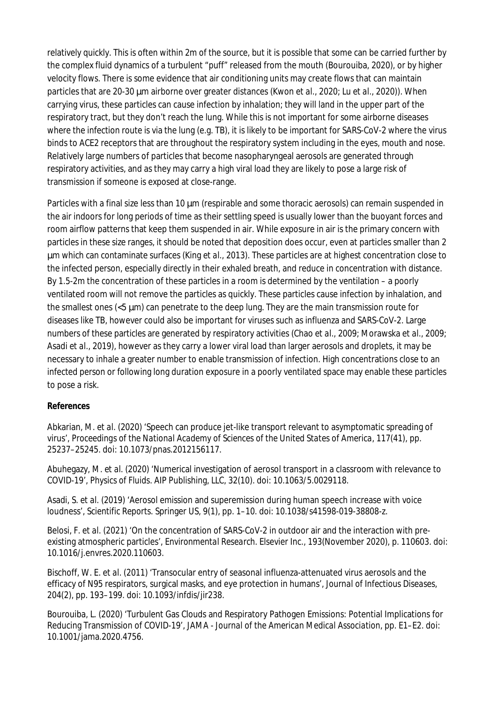relatively quickly. This is often within 2m of the source, but it is possible that some can be carried further by the complex fluid dynamics of a turbulent "puff" released from the mouth (Bourouiba, 2020), or by higher velocity flows. There is some evidence that air conditioning units may create flows that can maintain particles that are 20-30 μm airborne over greater distances (Kwon *et al.*, 2020; Lu *et al.*, 2020)). When carrying virus, these particles can cause infection by inhalation; they will land in the upper part of the respiratory tract, but they don't reach the lung. While this is not important for some airborne diseases where the infection route is via the lung (e.g. TB), it is likely to be important for SARS-CoV-2 where the virus binds to ACE2 receptors that are throughout the respiratory system including in the eyes, mouth and nose. Relatively large numbers of particles that become nasopharyngeal aerosols are generated through respiratory activities, and as they may carry a high viral load they are likely to pose a large risk of transmission if someone is exposed at close-range.

Particles with a final size less than 10 μm (respirable and some thoracic aerosols) can remain suspended in the air indoors for long periods of time as their settling speed is usually lower than the buoyant forces and room airflow patterns that keep them suspended in air. While exposure in air is the primary concern with particles in these size ranges, it should be noted that deposition does occur, even at particles smaller than 2 μm which can contaminate surfaces (King *et al.*, 2013). These particles are at highest concentration close to the infected person, especially directly in their exhaled breath, and reduce in concentration with distance. By 1.5-2m the concentration of these particles in a room is determined by the ventilation – a poorly ventilated room will not remove the particles as quickly. These particles cause infection by inhalation, and the smallest ones (<5 μm) can penetrate to the deep lung. They are the main transmission route for diseases like TB, however could also be important for viruses such as influenza and SARS-CoV-2. Large numbers of these particles are generated by respiratory activities (Chao *et al.*, 2009; Morawska *et al.*, 2009; Asadi *et al.*, 2019), however as they carry a lower viral load than larger aerosols and droplets, it may be necessary to inhale a greater number to enable transmission of infection. High concentrations close to an infected person or following long duration exposure in a poorly ventilated space may enable these particles to pose a risk.

#### **References**

Abkarian, M. *et al.* (2020) 'Speech can produce jet-like transport relevant to asymptomatic spreading of virus', *Proceedings of the National Academy of Sciences of the United States of America*, 117(41), pp. 25237–25245. doi: 10.1073/pnas.2012156117.

Abuhegazy, M. *et al.* (2020) 'Numerical investigation of aerosol transport in a classroom with relevance to COVID-19', *Physics of Fluids*. AIP Publishing, LLC, 32(10). doi: 10.1063/5.0029118.

Asadi, S. *et al.* (2019) 'Aerosol emission and superemission during human speech increase with voice loudness', *Scientific Reports*. Springer US, 9(1), pp. 1–10. doi: 10.1038/s41598-019-38808-z.

Belosi, F. *et al.* (2021) 'On the concentration of SARS-CoV-2 in outdoor air and the interaction with preexisting atmospheric particles', *Environmental Research*. Elsevier Inc., 193(November 2020), p. 110603. doi: 10.1016/j.envres.2020.110603.

Bischoff, W. E. *et al.* (2011) 'Transocular entry of seasonal influenza-attenuated virus aerosols and the efficacy of N95 respirators, surgical masks, and eye protection in humans', *Journal of Infectious Diseases*, 204(2), pp. 193–199. doi: 10.1093/infdis/jir238.

Bourouiba, L. (2020) 'Turbulent Gas Clouds and Respiratory Pathogen Emissions: Potential Implications for Reducing Transmission of COVID-19', *JAMA - Journal of the American Medical Association*, pp. E1–E2. doi: 10.1001/jama.2020.4756.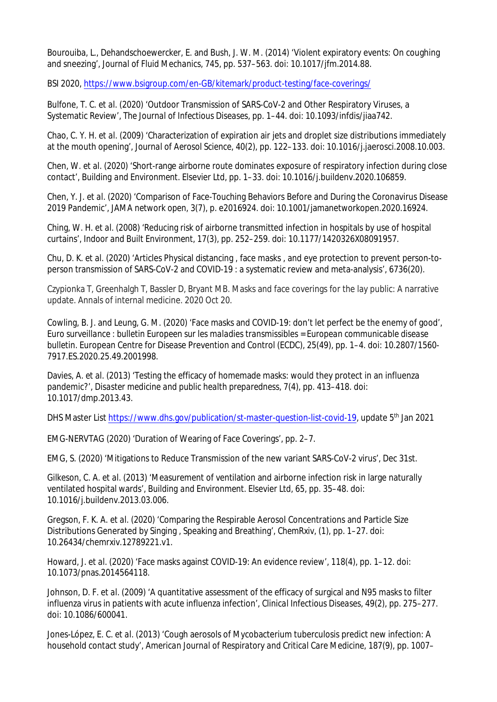Bourouiba, L., Dehandschoewercker, E. and Bush, J. W. M. (2014) 'Violent expiratory events: On coughing and sneezing', *Journal of Fluid Mechanics*, 745, pp. 537–563. doi: 10.1017/jfm.2014.88.

BSI 2020, https://www.bsigroup.com/en-GB/kitemark/product-testing/face-coverings/

Bulfone, T. C. *et al.* (2020) 'Outdoor Transmission of SARS-CoV-2 and Other Respiratory Viruses, a Systematic Review', *The Journal of Infectious Diseases*, pp. 1–44. doi: 10.1093/infdis/jiaa742.

Chao, C. Y. H. *et al.* (2009) 'Characterization of expiration air jets and droplet size distributions immediately at the mouth opening', *Journal of Aerosol Science*, 40(2), pp. 122–133. doi: 10.1016/j.jaerosci.2008.10.003.

Chen, W. *et al.* (2020) 'Short-range airborne route dominates exposure of respiratory infection during close contact', *Building and Environment*. Elsevier Ltd, pp. 1–33. doi: 10.1016/j.buildenv.2020.106859.

Chen, Y. J. *et al.* (2020) 'Comparison of Face-Touching Behaviors Before and During the Coronavirus Disease 2019 Pandemic', *JAMA network open*, 3(7), p. e2016924. doi: 10.1001/jamanetworkopen.2020.16924.

Ching, W. H. *et al.* (2008) 'Reducing risk of airborne transmitted infection in hospitals by use of hospital curtains', *Indoor and Built Environment*, 17(3), pp. 252–259. doi: 10.1177/1420326X08091957.

Chu, D. K. *et al.* (2020) 'Articles Physical distancing , face masks , and eye protection to prevent person-toperson transmission of SARS-CoV-2 and COVID-19 : a systematic review and meta-analysis', 6736(20).

Czypionka T, Greenhalgh T, Bassler D, Bryant MB. Masks and face coverings for the lay public: A narrative update. Annals of internal medicine. 2020 Oct 20.

Cowling, B. J. and Leung, G. M. (2020) 'Face masks and COVID-19: don't let perfect be the enemy of good', *Euro surveillance : bulletin Europeen sur les maladies transmissibles = European communicable disease bulletin*. European Centre for Disease Prevention and Control (ECDC), 25(49), pp. 1–4. doi: 10.2807/1560- 7917.ES.2020.25.49.2001998.

Davies, A. *et al.* (2013) 'Testing the efficacy of homemade masks: would they protect in an influenza pandemic?', *Disaster medicine and public health preparedness*, 7(4), pp. 413–418. doi: 10.1017/dmp.2013.43.

DHS Master List https://www.dhs.gov/publication/st-master-question-list-covid-19, update 5<sup>th</sup> Jan 2021

EMG-NERVTAG (2020) 'Duration of Wearing of Face Coverings', pp. 2–7.

EMG, S. (2020) 'Mitigations to Reduce Transmission of the new variant SARS-CoV-2 virus', Dec 31st.

Gilkeson, C. A. *et al.* (2013) 'Measurement of ventilation and airborne infection risk in large naturally ventilated hospital wards', *Building and Environment*. Elsevier Ltd, 65, pp. 35–48. doi: 10.1016/j.buildenv.2013.03.006.

Gregson, F. K. A. *et al.* (2020) 'Comparing the Respirable Aerosol Concentrations and Particle Size Distributions Generated by Singing , Speaking and Breathing', *ChemRxiv*, (1), pp. 1–27. doi: 10.26434/chemrxiv.12789221.v1.

Howard, J. *et al.* (2020) 'Face masks against COVID-19: An evidence review', 118(4), pp. 1–12. doi: 10.1073/pnas.2014564118.

Johnson, D. F. *et al.* (2009) 'A quantitative assessment of the efficacy of surgical and N95 masks to filter influenza virus in patients with acute influenza infection', *Clinical Infectious Diseases*, 49(2), pp. 275–277. doi: 10.1086/600041.

Jones-López, E. C. *et al.* (2013) 'Cough aerosols of Mycobacterium tuberculosis predict new infection: A household contact study', *American Journal of Respiratory and Critical Care Medicine*, 187(9), pp. 1007–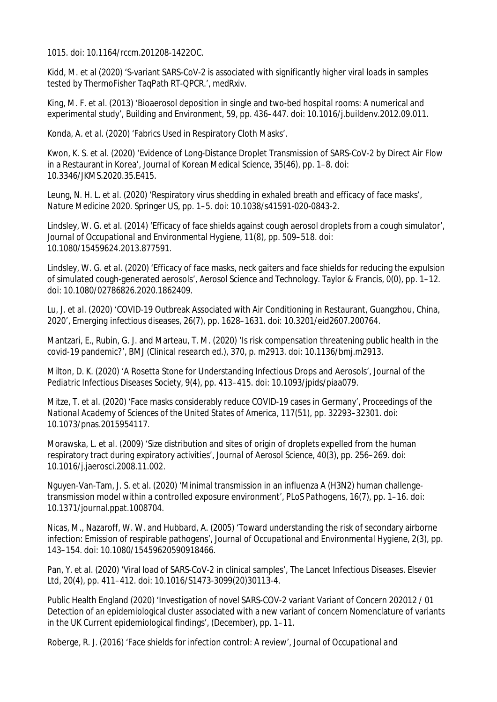1015. doi: 10.1164/rccm.201208-1422OC.

Kidd, M. et al (2020) 'S-variant SARS-CoV-2 is associated with significantly higher viral loads in samples tested by ThermoFisher TaqPath RT-QPCR.', *medRxiv*.

King, M. F. *et al.* (2013) 'Bioaerosol deposition in single and two-bed hospital rooms: A numerical and experimental study', *Building and Environment*, 59, pp. 436–447. doi: 10.1016/j.buildenv.2012.09.011.

Konda, A. *et al.* (2020) 'Fabrics Used in Respiratory Cloth Masks'.

Kwon, K. S. *et al.* (2020) 'Evidence of Long-Distance Droplet Transmission of SARS-CoV-2 by Direct Air Flow in a Restaurant in Korea', *Journal of Korean Medical Science*, 35(46), pp. 1–8. doi: 10.3346/JKMS.2020.35.E415.

Leung, N. H. L. *et al.* (2020) 'Respiratory virus shedding in exhaled breath and efficacy of face masks', *Nature Medicine 2020*. Springer US, pp. 1–5. doi: 10.1038/s41591-020-0843-2.

Lindsley, W. G. *et al.* (2014) 'Efficacy of face shields against cough aerosol droplets from a cough simulator', *Journal of Occupational and Environmental Hygiene*, 11(8), pp. 509–518. doi: 10.1080/15459624.2013.877591.

Lindsley, W. G. *et al.* (2020) 'Efficacy of face masks, neck gaiters and face shields for reducing the expulsion of simulated cough-generated aerosols', *Aerosol Science and Technology*. Taylor & Francis, 0(0), pp. 1–12. doi: 10.1080/02786826.2020.1862409.

Lu, J. *et al.* (2020) 'COVID-19 Outbreak Associated with Air Conditioning in Restaurant, Guangzhou, China, 2020', *Emerging infectious diseases*, 26(7), pp. 1628–1631. doi: 10.3201/eid2607.200764.

Mantzari, E., Rubin, G. J. and Marteau, T. M. (2020) 'Is risk compensation threatening public health in the covid-19 pandemic?', *BMJ (Clinical research ed.)*, 370, p. m2913. doi: 10.1136/bmj.m2913.

Milton, D. K. (2020) 'A Rosetta Stone for Understanding Infectious Drops and Aerosols', *Journal of the Pediatric Infectious Diseases Society*, 9(4), pp. 413–415. doi: 10.1093/jpids/piaa079.

Mitze, T. *et al.* (2020) 'Face masks considerably reduce COVID-19 cases in Germany', *Proceedings of the National Academy of Sciences of the United States of America*, 117(51), pp. 32293–32301. doi: 10.1073/pnas.2015954117.

Morawska, L. *et al.* (2009) 'Size distribution and sites of origin of droplets expelled from the human respiratory tract during expiratory activities', *Journal of Aerosol Science*, 40(3), pp. 256–269. doi: 10.1016/j.jaerosci.2008.11.002.

Nguyen-Van-Tam, J. S. *et al.* (2020) 'Minimal transmission in an influenza A (H3N2) human challengetransmission model within a controlled exposure environment', *PLoS Pathogens*, 16(7), pp. 1–16. doi: 10.1371/journal.ppat.1008704.

Nicas, M., Nazaroff, W. W. and Hubbard, A. (2005) 'Toward understanding the risk of secondary airborne infection: Emission of respirable pathogens', *Journal of Occupational and Environmental Hygiene*, 2(3), pp. 143–154. doi: 10.1080/15459620590918466.

Pan, Y. *et al.* (2020) 'Viral load of SARS-CoV-2 in clinical samples', *The Lancet Infectious Diseases*. Elsevier Ltd, 20(4), pp. 411–412. doi: 10.1016/S1473-3099(20)30113-4.

Public Health England (2020) 'Investigation of novel SARS-COV-2 variant Variant of Concern 202012 / 01 Detection of an epidemiological cluster associated with a new variant of concern Nomenclature of variants in the UK Current epidemiological findings', (December), pp. 1–11.

Roberge, R. J. (2016) 'Face shields for infection control: A review', *Journal of Occupational and*